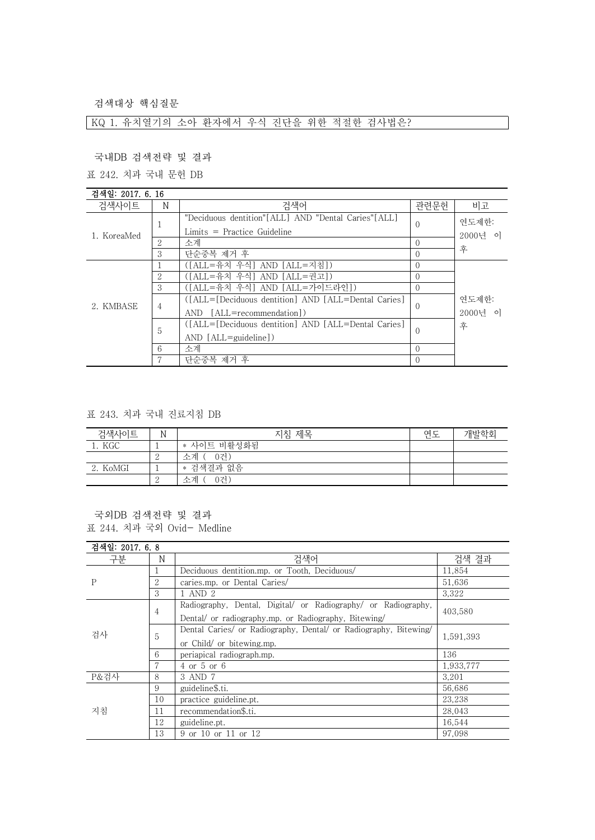검색대상 핵심질문

KQ 1. 유치열기의 소아 환자에서 우식 진단을 위한 적절한 검사법은?

국내DB 검색전략 및 결과

표 242. 치과 국내 문헌 DB

| 검색일: 2017, 6, 16 |                |                                                       |          |                       |
|------------------|----------------|-------------------------------------------------------|----------|-----------------------|
| 검색사이트            | N              | 검색어                                                   | 관련문헌     | 비고                    |
| 1. KoreaMed      |                | "Deciduous dentition" [ALL] AND "Dental Caries" [ALL] | $\Omega$ | 연도제하:                 |
|                  |                | $Limits = Practice Guide$                             |          | 2000년 이               |
|                  | 2              | 소계                                                    | $\Omega$ |                       |
|                  | 3              | 단순중복 제거 후                                             | $\Omega$ | 후                     |
|                  |                | ([ALL=유치 우식] AND [ALL=지침])                            | $\Omega$ |                       |
|                  | $\overline{2}$ | ([ALL=유치 우식] AND [ALL=궈고])                            |          |                       |
|                  | 3              | ([ALL=유치 우식] AND [ALL=가이드라인])                         | $\Omega$ |                       |
|                  | $\overline{4}$ | ([ALL=[Deciduous dentition] AND [ALL=Dental Caries]   | $\theta$ | 연도제하:<br>2000년 이<br>후 |
| 2. KMBASE        |                | AND [ALL=recommendation])                             |          |                       |
|                  | 5              | ([ALL=[Deciduous dentition] AND [ALL=Dental Caries]   | $\Omega$ |                       |
|                  |                | $AND$ $[ALL = \text{quideline}]$                      |          |                       |
|                  | 6              | 소계                                                    | $\Omega$ |                       |
|                  |                | 단순중복 제거 후                                             | $\Omega$ |                       |

표 243. 치과 국내 진료지침 DB

| 검색사이트    | N | 지침 제목          | 연도 | 개발학회 |
|----------|---|----------------|----|------|
| 1. KGC   |   | * 사이트 비활성화됨    |    |      |
|          |   | -0건`<br>. 소계 ′ |    |      |
| 2. KoMGI |   | * 검색결과 없음      |    |      |
|          |   | 소계<br>0건.      |    |      |

국외DB 검색전략 및 결과 표 244. 치과 국외 Ovid- Medline

| 검색일: 2017. 6. 8 |    |                                                                  |           |
|-----------------|----|------------------------------------------------------------------|-----------|
| 구분              | N  | 검색어                                                              | 검색 결과     |
| P               |    | Deciduous dentition.mp. or Tooth, Deciduous/                     | 11,854    |
|                 | 2  | caries.mp. or Dental Caries/                                     | 51.636    |
|                 | 3  | 1 AND 2                                                          | 3,322     |
| 검사              |    | Radiography, Dental, Digital/ or Radiography/ or Radiography,    | 403.580   |
|                 | 4  | Dental/ or radiography.mp. or Radiography, Bitewing/             |           |
|                 | 5  | Dental Caries/ or Radiography, Dental/ or Radiography, Bitewing/ |           |
|                 |    | or Child/ or bitewing.mp.                                        | 1,591,393 |
|                 | 6  | periapical radiograph.mp.                                        | 136       |
|                 | 7  | 4 or 5 or 6                                                      | 1,933,777 |
| P&검사            | 8  | 3 AND 7                                                          | 3,201     |
| 지침              | 9  | guideline\$.ti.                                                  | 56,686    |
|                 | 10 | practice guideline.pt.                                           | 23.238    |
|                 | 11 | recommendation\$.ti.                                             | 28,043    |
|                 | 12 | guideline.pt.                                                    | 16,544    |
|                 | 13 | 9 or 10 or 11 or 12                                              | 97.098    |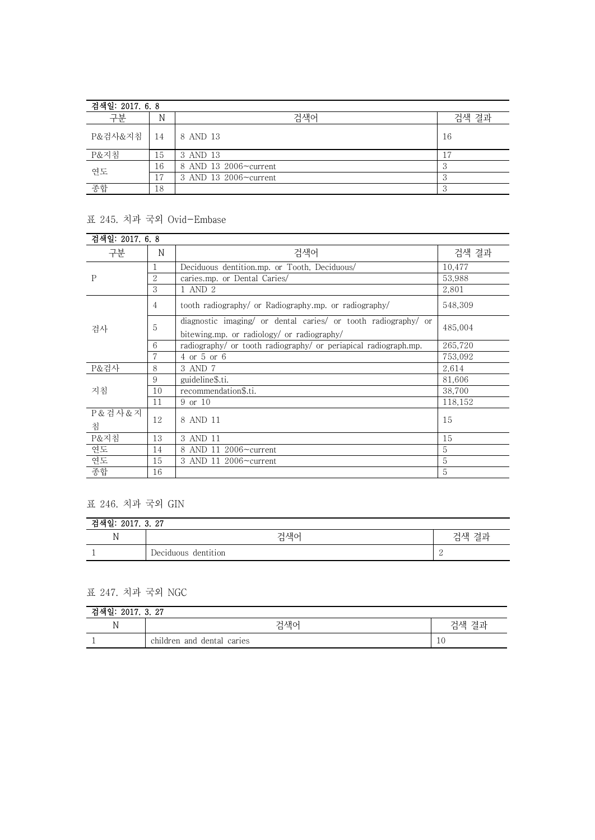| 검색일: 2017. 6.8 |                |                       |       |
|----------------|----------------|-----------------------|-------|
| 구분             | N              | 검색어                   | 검색 결과 |
| P&검사&지침        | 14             | 8 AND 13              | 16    |
| P&지침           | 15             | 3 AND 13              |       |
| 연도             | 16             | 8 AND 13 2006~current |       |
|                | $\overline{ }$ | 3 AND 13 2006~current |       |
| 종합             | 18             |                       |       |

## 표 245. 치과 국외 Ovid-Embase

| 검색일: 2017. 6. 8 |                |                                                                                                              |         |
|-----------------|----------------|--------------------------------------------------------------------------------------------------------------|---------|
| 구분              | N              | 검색어                                                                                                          | 검색 결과   |
| P               |                | Deciduous dentition.mp. or Tooth, Deciduous/                                                                 | 10,477  |
|                 | $\overline{2}$ | caries.mp. or Dental Caries/                                                                                 | 53,988  |
|                 | 3              | 1 AND 2                                                                                                      | 2,801   |
| 검사              | 4              | tooth radiography/ or Radiography.mp. or radiography/                                                        | 548,309 |
|                 | 5              | diagnostic imaging/ or dental caries/ or tooth radiography/ or<br>bitewing.mp. or radiology/ or radiography/ | 485,004 |
|                 | 6              | radiography/ or tooth radiography/ or periapical radiograph.mp.                                              | 265,720 |
|                 |                | $4$ or $5$ or $6$                                                                                            | 753,092 |
| P&검사            | 8              | 3 AND 7                                                                                                      | 2,614   |
| 지침              | 9              | guideline\$.ti.                                                                                              | 81,606  |
|                 | 10             | recommendation\$.ti.                                                                                         | 38.700  |
|                 | 11             | 9 or 10                                                                                                      | 118,152 |
| P & 검사 & 지<br>침 | 12             | 8 AND 11                                                                                                     | 15      |
| P&지침            | 13             | 3 AND 11                                                                                                     | 15      |
| 연도              | 14             | 8 AND 11 2006~current                                                                                        | 5       |
| 연도              | 15             | 3 AND 11 2006~current                                                                                        | 5       |
| 종합              | 16             |                                                                                                              | 5       |

## 표 246. 치과 국외 GIN

| 2017. 3. 27<br>. 현.      |                     |                          |  |  |
|--------------------------|---------------------|--------------------------|--|--|
| 17                       | 검색어                 | 검색 결과                    |  |  |
| $\overline{\phantom{a}}$ | Deciduous dentition | $\overline{\phantom{0}}$ |  |  |

## 표 247. 치과 국외 NGC

| 2017. 3. 27<br>, 귀 덛. |                            |               |  |
|-----------------------|----------------------------|---------------|--|
| M<br>.,               | 검색어                        | 격과<br>건색<br>로 |  |
|                       | children and dental caries | 10            |  |